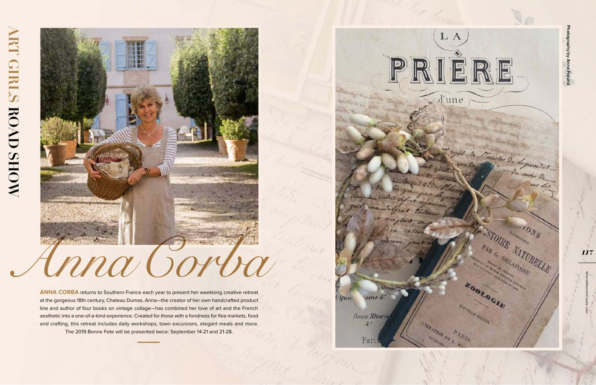**ANNA CORBA** returns to Southern France each year to present her weeklong creative retreat at the gorgeous 18th century, Chateau Dumas. Anna—the creator of her own handcrafted product line and author of four books on vintage collage—has combined her love of art and the French aesthetic into a one-of-a-kind experience. Created for those with a fondness for flea markets, food and crafting, this retreat includes daily workshops, town excursions, elegant meals and more. The 2019 Bonne Fete will be presented twice: September 14-21 and 21-28.

rains:6!  $4$   $qua$ 

Douce Réverie  $4$ .



Pari

a cutro vip

delprest

ou ratour

acceptant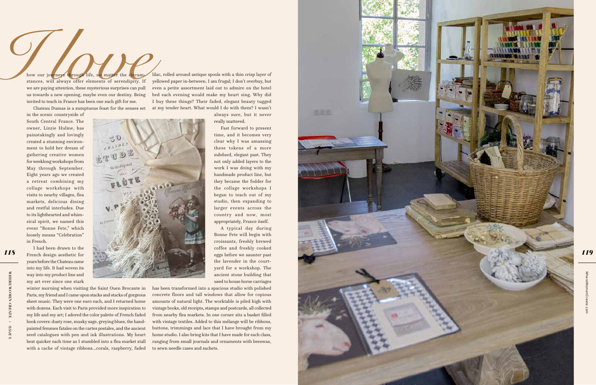**WHERE WOMEN WHERE WOMEN CREATECREATE**  | ISSUE 5 **ISSUE** 

WhereWomenCreate.com

*119*

how our journeys through life, no matter the circumstances, will always offer elements of serendipity. If we are paying attention, these mysterious surprises can pull us towards a new opening, maybe even our destiny. Being invited to teach in France has been one such gift for me. **I low our journeys through life, no matter the circum-<br>stances, will always offer elements of serendipity. If<br>we are paying attention, these mysterious surprises can pull<br>us towards a new opening, maybe even our destiny.** 

Chateau Dumas is a sumptuous feast for the senses set

in the scenic countryside of South Central France. The owner, Lizzie Hulme, has painstakingly and lovingly created a stunning environ ment to hold her dream of gathering creative women for weeklong workshops from May through September. Eight years ago we created a retreat combining my collage workshops with visits to nearby villages, flea markets, delicious dining and restful interludes. Due to its lighthearted and whim sical spirit, we named this event "Bonne Fete," which loosely means "Celebration" in French. I had been drawn to the

French design aesthetic for years before the Chateau came into my life. It had woven its way into my product line and

my art ever since one stark winter morning when visiting the Saint Ouen Brocante in Paris, my friend and I came upon stacks and stacks of gorgeous sheet music. They were one euro each, and I returned home with dozens. Each visit to Paris provided more inspiration to my life and my art; I adored the color palette of French faded book covers: dusty rose, musky sage, greying blues, the handpainted femmes fatales on the cartes postales, and the ancient seed catalogues with pen and ink illustrations. My heart beat quicker each time as I stumbled into a flea market stall with a cache of vintage ribbons...corals, raspberry, faded

lilac, rolled around antique spools with a thin crisp layer of yellowed paper in-between. I am frugal; I don't overbuy, but even a petite assortment laid out to admire on the hotel bed each evening would make my heart sing. Why did I buy these things? Their faded, elegant beauty tugged at my tender heart. What would I do with them? I wasn't

> always sure, but it never really mattered.

Fast forward to present time, and it becomes very clear why I was amassing these tokens of a more subdued, elegant past. They not only added layers to the work I was doing with my handmade product line, but they became the fodder for the collage workshops I began to teach out of my studio, then expanding to larger events across the country and now, most appropriately, France itself.

A typical day during Bonne Fete will begin with croissants, freshly brewed coffee and freshly cooked eggs before we saunter past the lavender in the court yard for a workshop. The ancient stone building that used to house horse carriages

has been transformed into a spacious studio with polished concrete floors and tall windows that allow for copious amounts of natural light. The worktable is piled high with vintage books, old receipts, stamps and postcards, all collected from nearby flea markets. In one corner sits a basket filled with vintage textiles. Added to this mélange will be ribbons, buttons, trimmings and lace that I have brought from my home studio. I also bring kits that I have made for each class, ranging from small journals and ornaments with beeswax, to sewn needle cases and sachets.